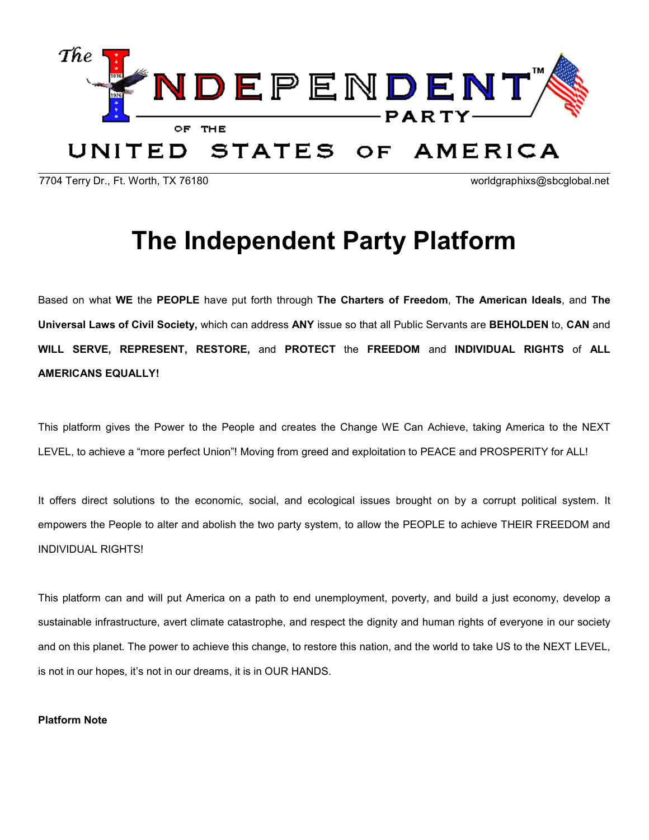

7704 Terry Dr., Ft. Worth, TX 76180 worldgraphixs@sbcglobal.net

# The Independent Party Platform

Based on what WE the PEOPLE have put forth through The Charters of Freedom, The American Ideals, and The Universal Laws of Civil Society, which can address ANY issue so that all Public Servants are BEHOLDEN to, CAN and WILL SERVE, REPRESENT, RESTORE, and PROTECT the FREEDOM and INDIVIDUAL RIGHTS of ALL AMERICANS EQUALLY!

This platform gives the Power to the People and creates the Change WE Can Achieve, taking America to the NEXT LEVEL, to achieve a "more perfect Union"! Moving from greed and exploitation to PEACE and PROSPERITY for ALL!

It offers direct solutions to the economic, social, and ecological issues brought on by a corrupt political system. It empowers the People to alter and abolish the two party system, to allow the PEOPLE to achieve THEIR FREEDOM and INDIVIDUAL RIGHTS!

This platform can and will put America on a path to end unemployment, poverty, and build a just economy, develop a sustainable infrastructure, avert climate catastrophe, and respect the dignity and human rights of everyone in our society and on this planet. The power to achieve this change, to restore this nation, and the world to take US to the NEXT LEVEL, is not in our hopes, it's not in our dreams, it is in OUR HANDS.

## Platform Note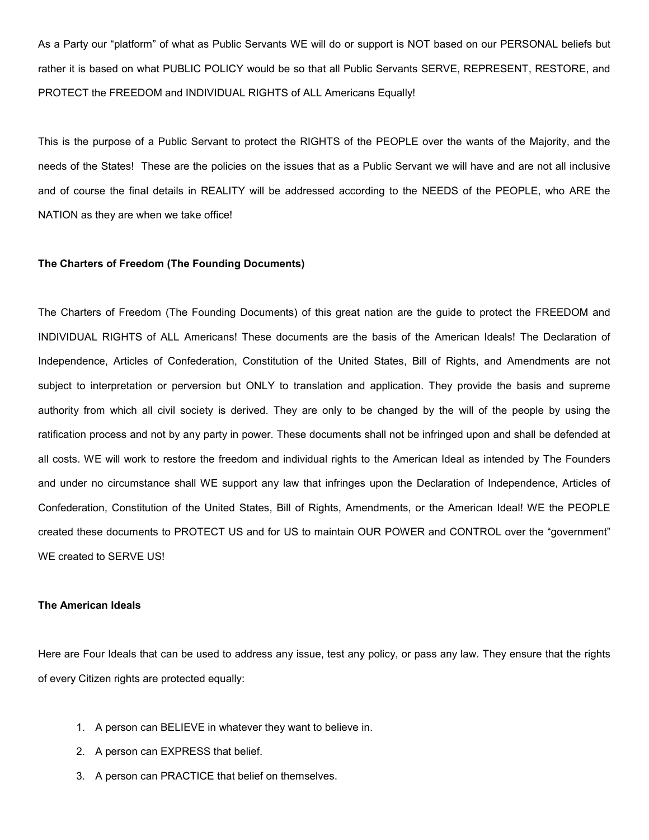As a Party our "platform" of what as Public Servants WE will do or support is NOT based on our PERSONAL beliefs but rather it is based on what PUBLIC POLICY would be so that all Public Servants SERVE, REPRESENT, RESTORE, and PROTECT the FREEDOM and INDIVIDUAL RIGHTS of ALL Americans Equally!

This is the purpose of a Public Servant to protect the RIGHTS of the PEOPLE over the wants of the Majority, and the needs of the States! These are the policies on the issues that as a Public Servant we will have and are not all inclusive and of course the final details in REALITY will be addressed according to the NEEDS of the PEOPLE, who ARE the NATION as they are when we take office!

## The Charters of Freedom (The Founding Documents)

The Charters of Freedom (The Founding Documents) of this great nation are the guide to protect the FREEDOM and INDIVIDUAL RIGHTS of ALL Americans! These documents are the basis of the American Ideals! The Declaration of Independence, Articles of Confederation, Constitution of the United States, Bill of Rights, and Amendments are not subject to interpretation or perversion but ONLY to translation and application. They provide the basis and supreme authority from which all civil society is derived. They are only to be changed by the will of the people by using the ratification process and not by any party in power. These documents shall not be infringed upon and shall be defended at all costs. WE will work to restore the freedom and individual rights to the American Ideal as intended by The Founders and under no circumstance shall WE support any law that infringes upon the Declaration of Independence, Articles of Confederation, Constitution of the United States, Bill of Rights, Amendments, or the American Ideal! WE the PEOPLE created these documents to PROTECT US and for US to maintain OUR POWER and CONTROL over the "government" WE created to SERVE US!

#### The American Ideals

Here are Four Ideals that can be used to address any issue, test any policy, or pass any law. They ensure that the rights of every Citizen rights are protected equally:

- 1. A person can BELIEVE in whatever they want to believe in.
- 2. A person can EXPRESS that belief.
- 3. A person can PRACTICE that belief on themselves.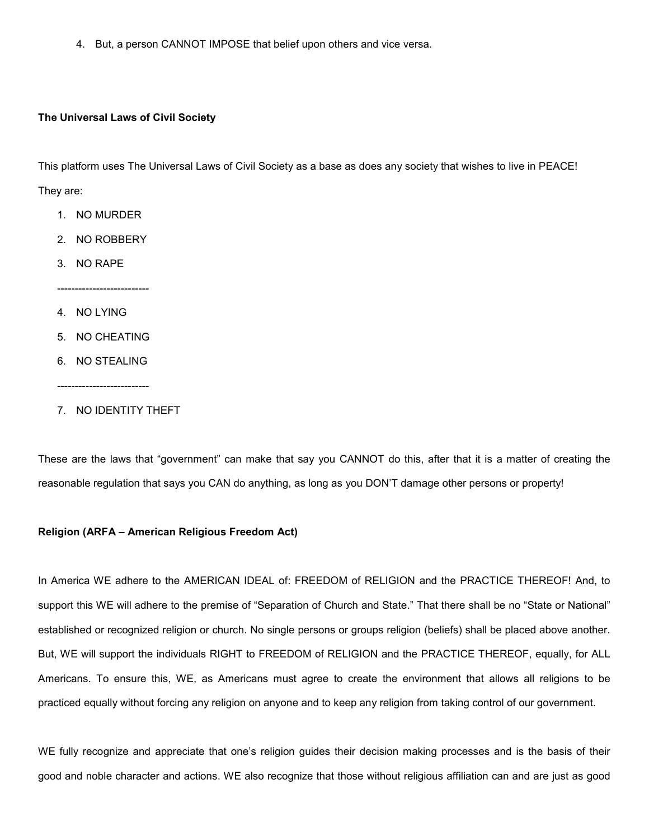4. But, a person CANNOT IMPOSE that belief upon others and vice versa.

## The Universal Laws of Civil Society

This platform uses The Universal Laws of Civil Society as a base as does any society that wishes to live in PEACE! They are:

- 1. NO MURDER
- 2. NO ROBBERY

--------------------------

- 3. NO RAPE
- 4. NO LYING
- 5. NO CHEATING
- 6. NO STEALING
- --------------------------
- 7. NO IDENTITY THEFT

These are the laws that "government" can make that say you CANNOT do this, after that it is a matter of creating the reasonable regulation that says you CAN do anything, as long as you DON'T damage other persons or property!

## Religion (ARFA – American Religious Freedom Act)

In America WE adhere to the AMERICAN IDEAL of: FREEDOM of RELIGION and the PRACTICE THEREOF! And, to support this WE will adhere to the premise of "Separation of Church and State." That there shall be no "State or National" established or recognized religion or church. No single persons or groups religion (beliefs) shall be placed above another. But, WE will support the individuals RIGHT to FREEDOM of RELIGION and the PRACTICE THEREOF, equally, for ALL Americans. To ensure this, WE, as Americans must agree to create the environment that allows all religions to be practiced equally without forcing any religion on anyone and to keep any religion from taking control of our government.

WE fully recognize and appreciate that one's religion guides their decision making processes and is the basis of their good and noble character and actions. WE also recognize that those without religious affiliation can and are just as good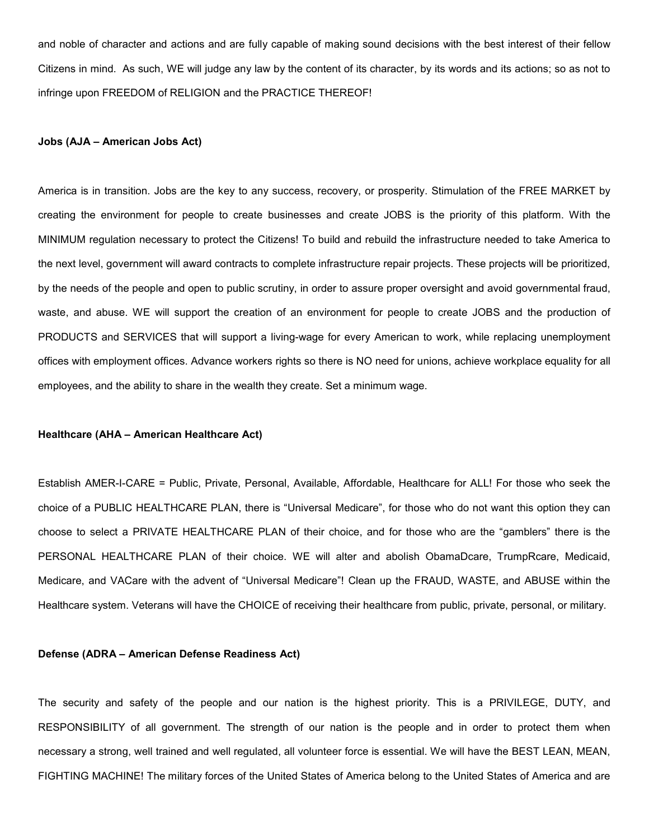and noble of character and actions and are fully capable of making sound decisions with the best interest of their fellow Citizens in mind. As such, WE will judge any law by the content of its character, by its words and its actions; so as not to infringe upon FREEDOM of RELIGION and the PRACTICE THEREOF!

#### Jobs (AJA – American Jobs Act)

America is in transition. Jobs are the key to any success, recovery, or prosperity. Stimulation of the FREE MARKET by creating the environment for people to create businesses and create JOBS is the priority of this platform. With the MINIMUM regulation necessary to protect the Citizens! To build and rebuild the infrastructure needed to take America to the next level, government will award contracts to complete infrastructure repair projects. These projects will be prioritized, by the needs of the people and open to public scrutiny, in order to assure proper oversight and avoid governmental fraud, waste, and abuse. WE will support the creation of an environment for people to create JOBS and the production of PRODUCTS and SERVICES that will support a living-wage for every American to work, while replacing unemployment offices with employment offices. Advance workers rights so there is NO need for unions, achieve workplace equality for all employees, and the ability to share in the wealth they create. Set a minimum wage.

#### Healthcare (AHA – American Healthcare Act)

Establish AMER-I-CARE = Public, Private, Personal, Available, Affordable, Healthcare for ALL! For those who seek the choice of a PUBLIC HEALTHCARE PLAN, there is "Universal Medicare", for those who do not want this option they can choose to select a PRIVATE HEALTHCARE PLAN of their choice, and for those who are the "gamblers" there is the PERSONAL HEALTHCARE PLAN of their choice. WE will alter and abolish ObamaDcare, TrumpRcare, Medicaid, Medicare, and VACare with the advent of "Universal Medicare"! Clean up the FRAUD, WASTE, and ABUSE within the Healthcare system. Veterans will have the CHOICE of receiving their healthcare from public, private, personal, or military.

#### Defense (ADRA – American Defense Readiness Act)

The security and safety of the people and our nation is the highest priority. This is a PRIVILEGE, DUTY, and RESPONSIBILITY of all government. The strength of our nation is the people and in order to protect them when necessary a strong, well trained and well regulated, all volunteer force is essential. We will have the BEST LEAN, MEAN, FIGHTING MACHINE! The military forces of the United States of America belong to the United States of America and are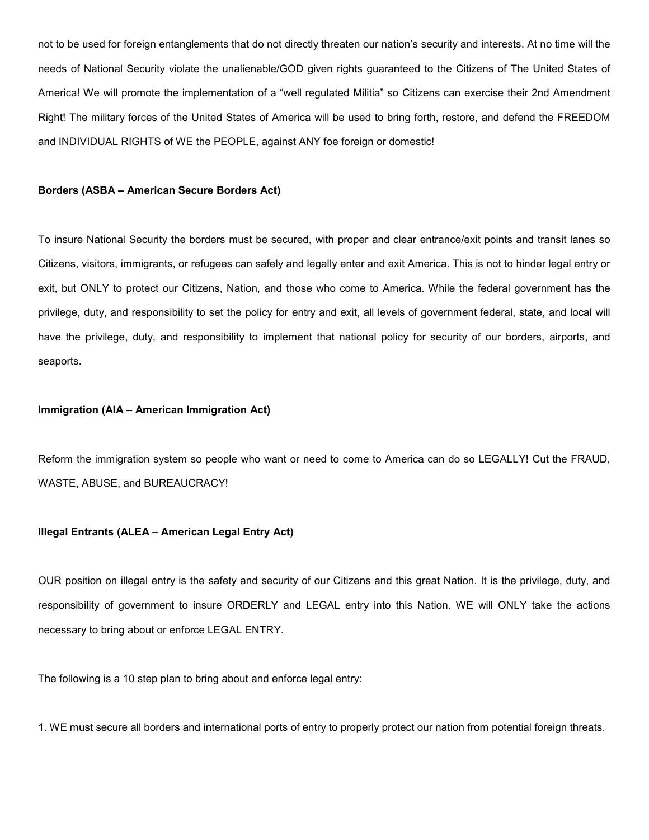not to be used for foreign entanglements that do not directly threaten our nation's security and interests. At no time will the needs of National Security violate the unalienable/GOD given rights guaranteed to the Citizens of The United States of America! We will promote the implementation of a "well regulated Militia" so Citizens can exercise their 2nd Amendment Right! The military forces of the United States of America will be used to bring forth, restore, and defend the FREEDOM and INDIVIDUAL RIGHTS of WE the PEOPLE, against ANY foe foreign or domestic!

#### Borders (ASBA – American Secure Borders Act)

To insure National Security the borders must be secured, with proper and clear entrance/exit points and transit lanes so Citizens, visitors, immigrants, or refugees can safely and legally enter and exit America. This is not to hinder legal entry or exit, but ONLY to protect our Citizens, Nation, and those who come to America. While the federal government has the privilege, duty, and responsibility to set the policy for entry and exit, all levels of government federal, state, and local will have the privilege, duty, and responsibility to implement that national policy for security of our borders, airports, and seaports.

#### Immigration (AIA – American Immigration Act)

Reform the immigration system so people who want or need to come to America can do so LEGALLY! Cut the FRAUD, WASTE, ABUSE, and BUREAUCRACY!

## Illegal Entrants (ALEA – American Legal Entry Act)

OUR position on illegal entry is the safety and security of our Citizens and this great Nation. It is the privilege, duty, and responsibility of government to insure ORDERLY and LEGAL entry into this Nation. WE will ONLY take the actions necessary to bring about or enforce LEGAL ENTRY.

The following is a 10 step plan to bring about and enforce legal entry:

1. WE must secure all borders and international ports of entry to properly protect our nation from potential foreign threats.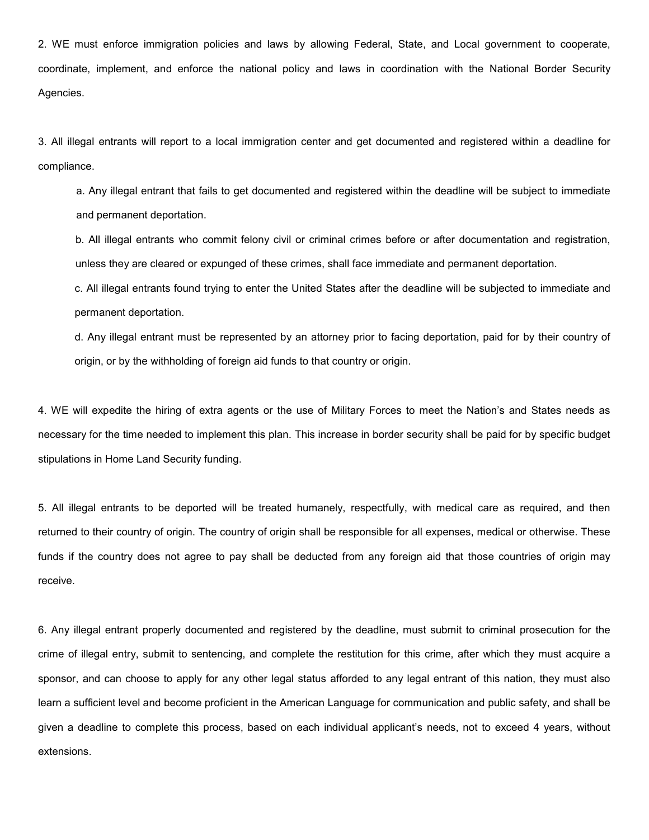2. WE must enforce immigration policies and laws by allowing Federal, State, and Local government to cooperate, coordinate, implement, and enforce the national policy and laws in coordination with the National Border Security Agencies.

3. All illegal entrants will report to a local immigration center and get documented and registered within a deadline for compliance.

a. Any illegal entrant that fails to get documented and registered within the deadline will be subject to immediate and permanent deportation.

b. All illegal entrants who commit felony civil or criminal crimes before or after documentation and registration, unless they are cleared or expunged of these crimes, shall face immediate and permanent deportation.

c. All illegal entrants found trying to enter the United States after the deadline will be subjected to immediate and permanent deportation.

d. Any illegal entrant must be represented by an attorney prior to facing deportation, paid for by their country of origin, or by the withholding of foreign aid funds to that country or origin.

4. WE will expedite the hiring of extra agents or the use of Military Forces to meet the Nation's and States needs as necessary for the time needed to implement this plan. This increase in border security shall be paid for by specific budget stipulations in Home Land Security funding.

5. All illegal entrants to be deported will be treated humanely, respectfully, with medical care as required, and then returned to their country of origin. The country of origin shall be responsible for all expenses, medical or otherwise. These funds if the country does not agree to pay shall be deducted from any foreign aid that those countries of origin may receive.

6. Any illegal entrant properly documented and registered by the deadline, must submit to criminal prosecution for the crime of illegal entry, submit to sentencing, and complete the restitution for this crime, after which they must acquire a sponsor, and can choose to apply for any other legal status afforded to any legal entrant of this nation, they must also learn a sufficient level and become proficient in the American Language for communication and public safety, and shall be given a deadline to complete this process, based on each individual applicant's needs, not to exceed 4 years, without extensions.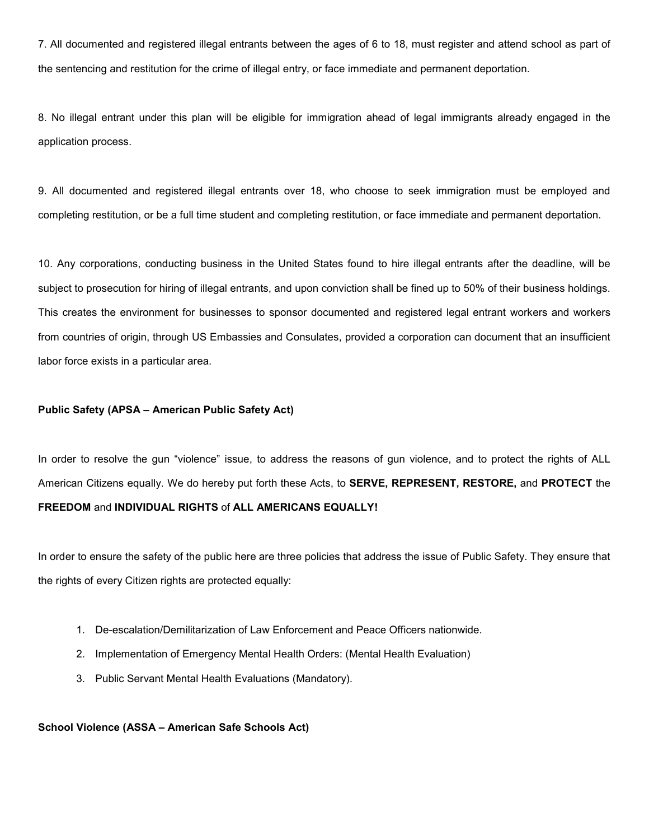7. All documented and registered illegal entrants between the ages of 6 to 18, must register and attend school as part of the sentencing and restitution for the crime of illegal entry, or face immediate and permanent deportation.

8. No illegal entrant under this plan will be eligible for immigration ahead of legal immigrants already engaged in the application process.

9. All documented and registered illegal entrants over 18, who choose to seek immigration must be employed and completing restitution, or be a full time student and completing restitution, or face immediate and permanent deportation.

10. Any corporations, conducting business in the United States found to hire illegal entrants after the deadline, will be subject to prosecution for hiring of illegal entrants, and upon conviction shall be fined up to 50% of their business holdings. This creates the environment for businesses to sponsor documented and registered legal entrant workers and workers from countries of origin, through US Embassies and Consulates, provided a corporation can document that an insufficient labor force exists in a particular area.

## Public Safety (APSA – American Public Safety Act)

In order to resolve the gun "violence" issue, to address the reasons of gun violence, and to protect the rights of ALL American Citizens equally. We do hereby put forth these Acts, to SERVE, REPRESENT, RESTORE, and PROTECT the FREEDOM and INDIVIDUAL RIGHTS of ALL AMERICANS EQUALLY!

In order to ensure the safety of the public here are three policies that address the issue of Public Safety. They ensure that the rights of every Citizen rights are protected equally:

- 1. De-escalation/Demilitarization of Law Enforcement and Peace Officers nationwide.
- 2. Implementation of Emergency Mental Health Orders: (Mental Health Evaluation)
- 3. Public Servant Mental Health Evaluations (Mandatory).

## School Violence (ASSA – American Safe Schools Act)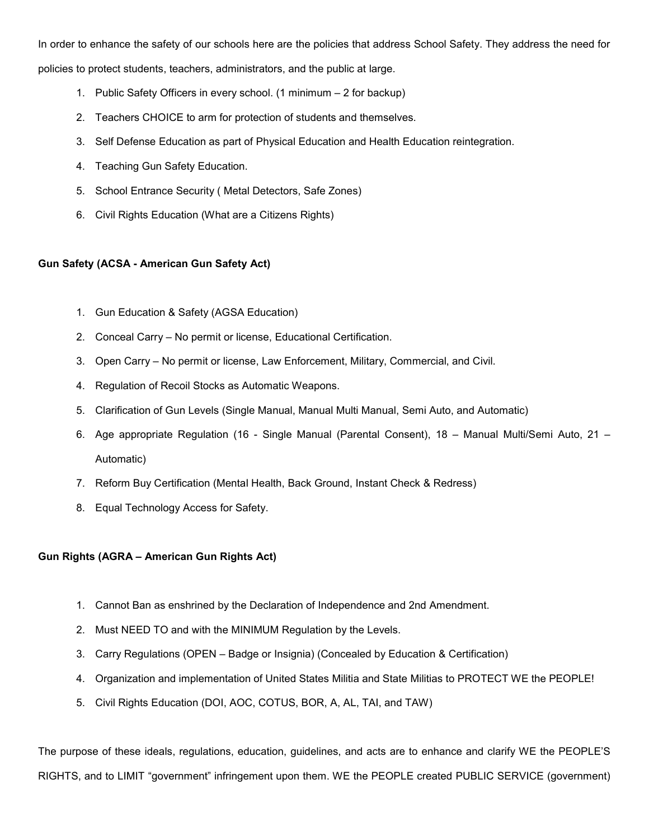In order to enhance the safety of our schools here are the policies that address School Safety. They address the need for policies to protect students, teachers, administrators, and the public at large.

- 1. Public Safety Officers in every school. (1 minimum 2 for backup)
- 2. Teachers CHOICE to arm for protection of students and themselves.
- 3. Self Defense Education as part of Physical Education and Health Education reintegration.
- 4. Teaching Gun Safety Education.
- 5. School Entrance Security ( Metal Detectors, Safe Zones)
- 6. Civil Rights Education (What are a Citizens Rights)

# Gun Safety (ACSA - American Gun Safety Act)

- 1. Gun Education & Safety (AGSA Education)
- 2. Conceal Carry No permit or license, Educational Certification.
- 3. Open Carry No permit or license, Law Enforcement, Military, Commercial, and Civil.
- 4. Regulation of Recoil Stocks as Automatic Weapons.
- 5. Clarification of Gun Levels (Single Manual, Manual Multi Manual, Semi Auto, and Automatic)
- 6. Age appropriate Regulation (16 Single Manual (Parental Consent), 18 Manual Multi/Semi Auto, 21 Automatic)
- 7. Reform Buy Certification (Mental Health, Back Ground, Instant Check & Redress)
- 8. Equal Technology Access for Safety.

# Gun Rights (AGRA – American Gun Rights Act)

- 1. Cannot Ban as enshrined by the Declaration of Independence and 2nd Amendment.
- 2. Must NEED TO and with the MINIMUM Regulation by the Levels.
- 3. Carry Regulations (OPEN Badge or Insignia) (Concealed by Education & Certification)
- 4. Organization and implementation of United States Militia and State Militias to PROTECT WE the PEOPLE!
- 5. Civil Rights Education (DOI, AOC, COTUS, BOR, A, AL, TAI, and TAW)

The purpose of these ideals, regulations, education, guidelines, and acts are to enhance and clarify WE the PEOPLE'S RIGHTS, and to LIMIT "government" infringement upon them. WE the PEOPLE created PUBLIC SERVICE (government)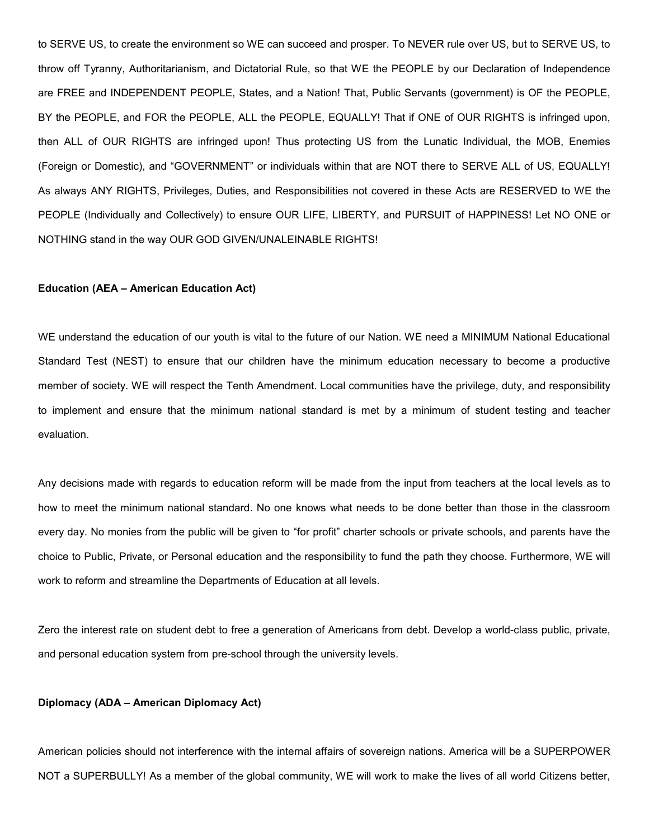to SERVE US, to create the environment so WE can succeed and prosper. To NEVER rule over US, but to SERVE US, to throw off Tyranny, Authoritarianism, and Dictatorial Rule, so that WE the PEOPLE by our Declaration of Independence are FREE and INDEPENDENT PEOPLE, States, and a Nation! That, Public Servants (government) is OF the PEOPLE, BY the PEOPLE, and FOR the PEOPLE, ALL the PEOPLE, EQUALLY! That if ONE of OUR RIGHTS is infringed upon, then ALL of OUR RIGHTS are infringed upon! Thus protecting US from the Lunatic Individual, the MOB, Enemies (Foreign or Domestic), and "GOVERNMENT" or individuals within that are NOT there to SERVE ALL of US, EQUALLY! As always ANY RIGHTS, Privileges, Duties, and Responsibilities not covered in these Acts are RESERVED to WE the PEOPLE (Individually and Collectively) to ensure OUR LIFE, LIBERTY, and PURSUIT of HAPPINESS! Let NO ONE or NOTHING stand in the way OUR GOD GIVEN/UNALEINABLE RIGHTS!

#### Education (AEA – American Education Act)

WE understand the education of our youth is vital to the future of our Nation. WE need a MINIMUM National Educational Standard Test (NEST) to ensure that our children have the minimum education necessary to become a productive member of society. WE will respect the Tenth Amendment. Local communities have the privilege, duty, and responsibility to implement and ensure that the minimum national standard is met by a minimum of student testing and teacher evaluation.

Any decisions made with regards to education reform will be made from the input from teachers at the local levels as to how to meet the minimum national standard. No one knows what needs to be done better than those in the classroom every day. No monies from the public will be given to "for profit" charter schools or private schools, and parents have the choice to Public, Private, or Personal education and the responsibility to fund the path they choose. Furthermore, WE will work to reform and streamline the Departments of Education at all levels.

Zero the interest rate on student debt to free a generation of Americans from debt. Develop a world-class public, private, and personal education system from pre-school through the university levels.

#### Diplomacy (ADA – American Diplomacy Act)

American policies should not interference with the internal affairs of sovereign nations. America will be a SUPERPOWER NOT a SUPERBULLY! As a member of the global community, WE will work to make the lives of all world Citizens better,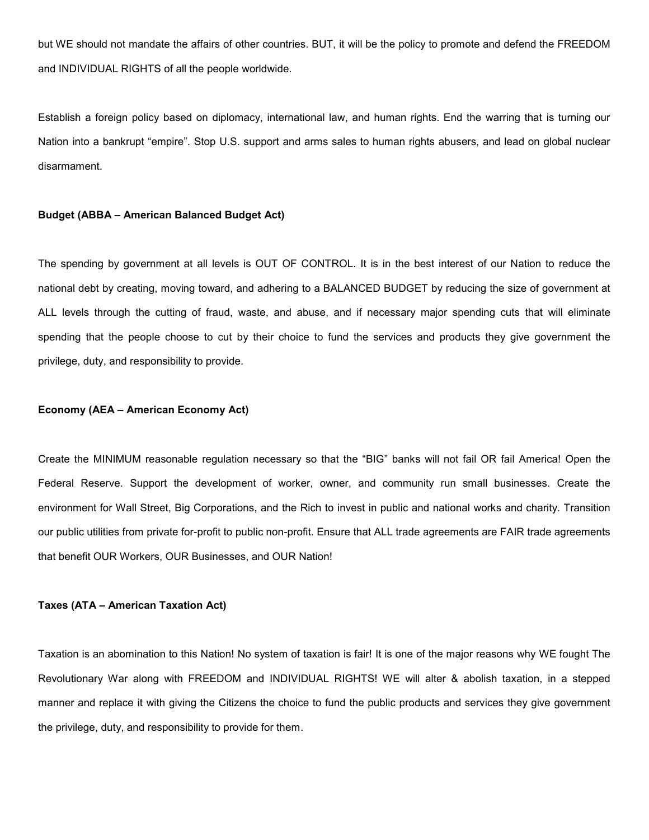but WE should not mandate the affairs of other countries. BUT, it will be the policy to promote and defend the FREEDOM and INDIVIDUAL RIGHTS of all the people worldwide.

Establish a foreign policy based on diplomacy, international law, and human rights. End the warring that is turning our Nation into a bankrupt "empire". Stop U.S. support and arms sales to human rights abusers, and lead on global nuclear disarmament.

#### Budget (ABBA – American Balanced Budget Act)

The spending by government at all levels is OUT OF CONTROL. It is in the best interest of our Nation to reduce the national debt by creating, moving toward, and adhering to a BALANCED BUDGET by reducing the size of government at ALL levels through the cutting of fraud, waste, and abuse, and if necessary major spending cuts that will eliminate spending that the people choose to cut by their choice to fund the services and products they give government the privilege, duty, and responsibility to provide.

#### Economy (AEA – American Economy Act)

Create the MINIMUM reasonable regulation necessary so that the "BIG" banks will not fail OR fail America! Open the Federal Reserve. Support the development of worker, owner, and community run small businesses. Create the environment for Wall Street, Big Corporations, and the Rich to invest in public and national works and charity. Transition our public utilities from private for-profit to public non-profit. Ensure that ALL trade agreements are FAIR trade agreements that benefit OUR Workers, OUR Businesses, and OUR Nation!

#### Taxes (ATA – American Taxation Act)

Taxation is an abomination to this Nation! No system of taxation is fair! It is one of the major reasons why WE fought The Revolutionary War along with FREEDOM and INDIVIDUAL RIGHTS! WE will alter & abolish taxation, in a stepped manner and replace it with giving the Citizens the choice to fund the public products and services they give government the privilege, duty, and responsibility to provide for them.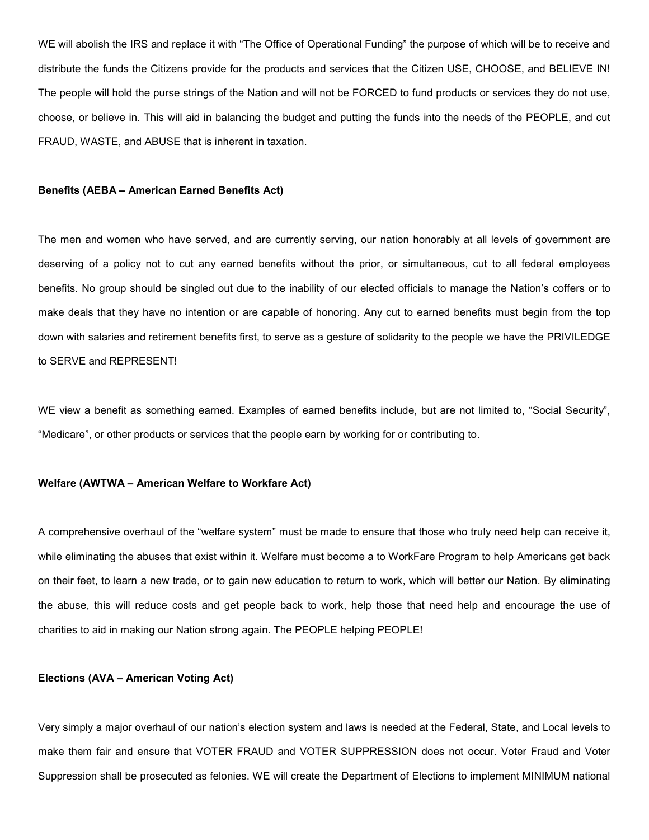WE will abolish the IRS and replace it with "The Office of Operational Funding" the purpose of which will be to receive and distribute the funds the Citizens provide for the products and services that the Citizen USE, CHOOSE, and BELIEVE IN! The people will hold the purse strings of the Nation and will not be FORCED to fund products or services they do not use, choose, or believe in. This will aid in balancing the budget and putting the funds into the needs of the PEOPLE, and cut FRAUD, WASTE, and ABUSE that is inherent in taxation.

#### Benefits (AEBA – American Earned Benefits Act)

The men and women who have served, and are currently serving, our nation honorably at all levels of government are deserving of a policy not to cut any earned benefits without the prior, or simultaneous, cut to all federal employees benefits. No group should be singled out due to the inability of our elected officials to manage the Nation's coffers or to make deals that they have no intention or are capable of honoring. Any cut to earned benefits must begin from the top down with salaries and retirement benefits first, to serve as a gesture of solidarity to the people we have the PRIVILEDGE to SERVE and REPRESENT!

WE view a benefit as something earned. Examples of earned benefits include, but are not limited to, "Social Security", "Medicare", or other products or services that the people earn by working for or contributing to.

#### Welfare (AWTWA – American Welfare to Workfare Act)

A comprehensive overhaul of the "welfare system" must be made to ensure that those who truly need help can receive it, while eliminating the abuses that exist within it. Welfare must become a to WorkFare Program to help Americans get back on their feet, to learn a new trade, or to gain new education to return to work, which will better our Nation. By eliminating the abuse, this will reduce costs and get people back to work, help those that need help and encourage the use of charities to aid in making our Nation strong again. The PEOPLE helping PEOPLE!

## Elections (AVA – American Voting Act)

Very simply a major overhaul of our nation's election system and laws is needed at the Federal, State, and Local levels to make them fair and ensure that VOTER FRAUD and VOTER SUPPRESSION does not occur. Voter Fraud and Voter Suppression shall be prosecuted as felonies. WE will create the Department of Elections to implement MINIMUM national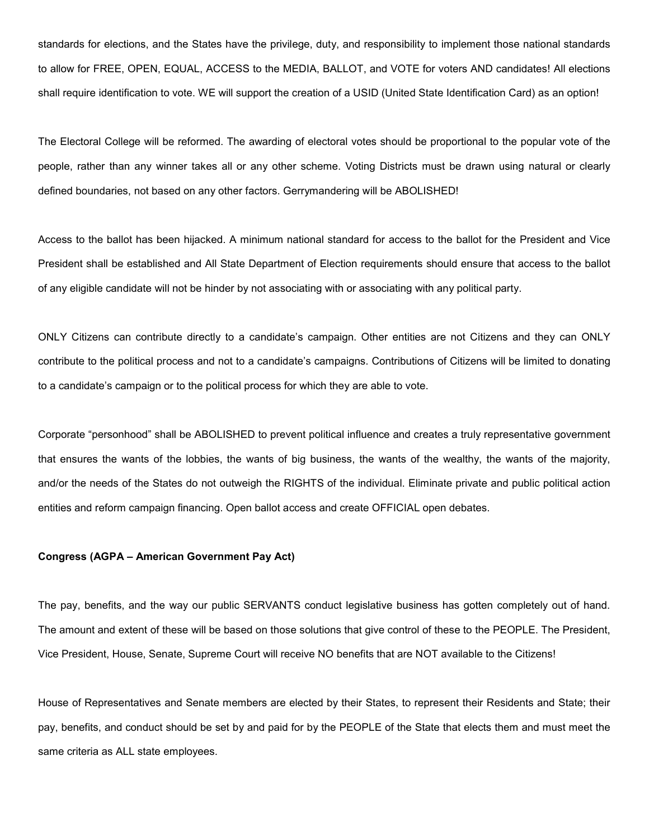standards for elections, and the States have the privilege, duty, and responsibility to implement those national standards to allow for FREE, OPEN, EQUAL, ACCESS to the MEDIA, BALLOT, and VOTE for voters AND candidates! All elections shall require identification to vote. WE will support the creation of a USID (United State Identification Card) as an option!

The Electoral College will be reformed. The awarding of electoral votes should be proportional to the popular vote of the people, rather than any winner takes all or any other scheme. Voting Districts must be drawn using natural or clearly defined boundaries, not based on any other factors. Gerrymandering will be ABOLISHED!

Access to the ballot has been hijacked. A minimum national standard for access to the ballot for the President and Vice President shall be established and All State Department of Election requirements should ensure that access to the ballot of any eligible candidate will not be hinder by not associating with or associating with any political party.

ONLY Citizens can contribute directly to a candidate's campaign. Other entities are not Citizens and they can ONLY contribute to the political process and not to a candidate's campaigns. Contributions of Citizens will be limited to donating to a candidate's campaign or to the political process for which they are able to vote.

Corporate "personhood" shall be ABOLISHED to prevent political influence and creates a truly representative government that ensures the wants of the lobbies, the wants of big business, the wants of the wealthy, the wants of the majority, and/or the needs of the States do not outweigh the RIGHTS of the individual. Eliminate private and public political action entities and reform campaign financing. Open ballot access and create OFFICIAL open debates.

## Congress (AGPA – American Government Pay Act)

The pay, benefits, and the way our public SERVANTS conduct legislative business has gotten completely out of hand. The amount and extent of these will be based on those solutions that give control of these to the PEOPLE. The President, Vice President, House, Senate, Supreme Court will receive NO benefits that are NOT available to the Citizens!

House of Representatives and Senate members are elected by their States, to represent their Residents and State; their pay, benefits, and conduct should be set by and paid for by the PEOPLE of the State that elects them and must meet the same criteria as ALL state employees.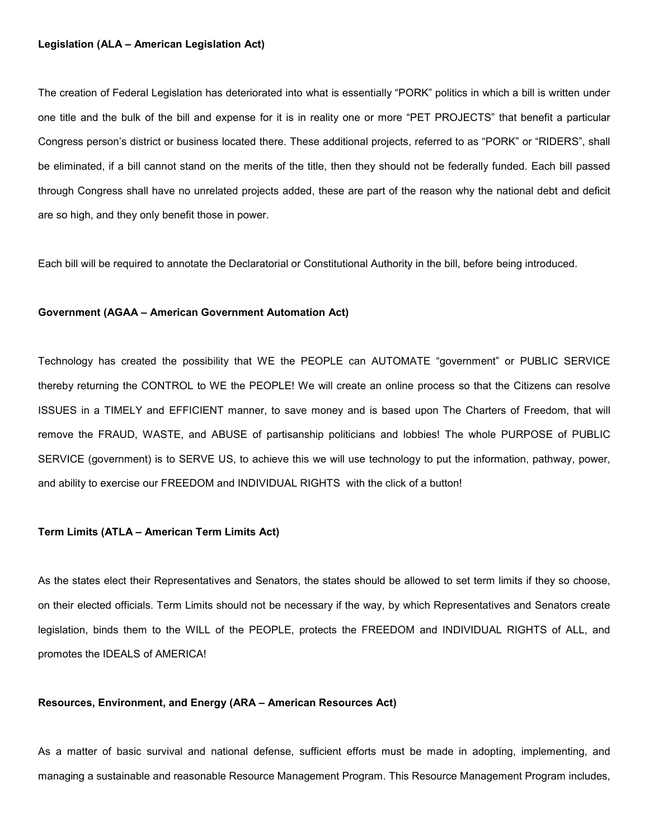#### Legislation (ALA – American Legislation Act)

The creation of Federal Legislation has deteriorated into what is essentially "PORK" politics in which a bill is written under one title and the bulk of the bill and expense for it is in reality one or more "PET PROJECTS" that benefit a particular Congress person's district or business located there. These additional projects, referred to as "PORK" or "RIDERS", shall be eliminated, if a bill cannot stand on the merits of the title, then they should not be federally funded. Each bill passed through Congress shall have no unrelated projects added, these are part of the reason why the national debt and deficit are so high, and they only benefit those in power.

Each bill will be required to annotate the Declaratorial or Constitutional Authority in the bill, before being introduced.

#### Government (AGAA – American Government Automation Act)

Technology has created the possibility that WE the PEOPLE can AUTOMATE "government" or PUBLIC SERVICE thereby returning the CONTROL to WE the PEOPLE! We will create an online process so that the Citizens can resolve ISSUES in a TIMELY and EFFICIENT manner, to save money and is based upon The Charters of Freedom, that will remove the FRAUD, WASTE, and ABUSE of partisanship politicians and lobbies! The whole PURPOSE of PUBLIC SERVICE (government) is to SERVE US, to achieve this we will use technology to put the information, pathway, power, and ability to exercise our FREEDOM and INDIVIDUAL RIGHTS with the click of a button!

## Term Limits (ATLA – American Term Limits Act)

As the states elect their Representatives and Senators, the states should be allowed to set term limits if they so choose, on their elected officials. Term Limits should not be necessary if the way, by which Representatives and Senators create legislation, binds them to the WILL of the PEOPLE, protects the FREEDOM and INDIVIDUAL RIGHTS of ALL, and promotes the IDEALS of AMERICA!

## Resources, Environment, and Energy (ARA – American Resources Act)

As a matter of basic survival and national defense, sufficient efforts must be made in adopting, implementing, and managing a sustainable and reasonable Resource Management Program. This Resource Management Program includes,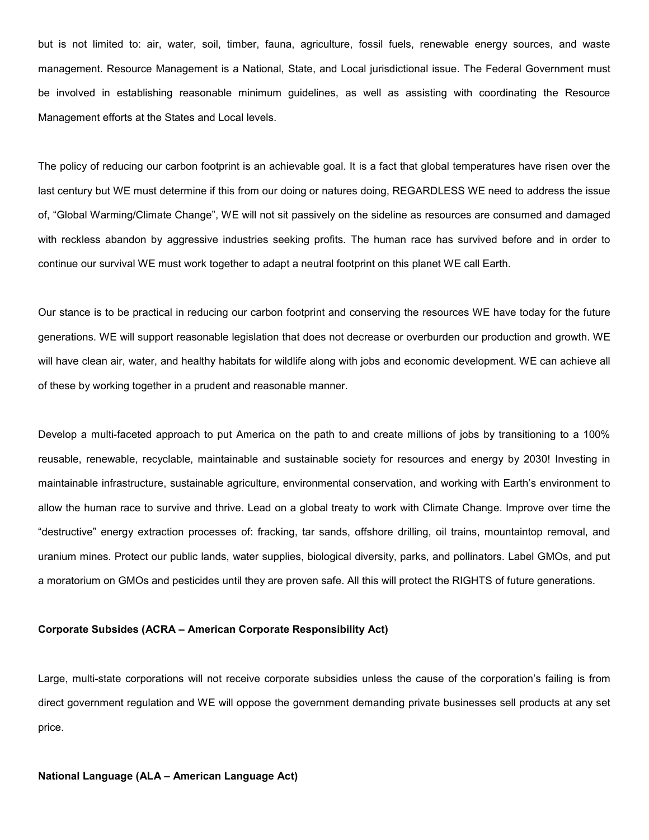but is not limited to: air, water, soil, timber, fauna, agriculture, fossil fuels, renewable energy sources, and waste management. Resource Management is a National, State, and Local jurisdictional issue. The Federal Government must be involved in establishing reasonable minimum guidelines, as well as assisting with coordinating the Resource Management efforts at the States and Local levels.

The policy of reducing our carbon footprint is an achievable goal. It is a fact that global temperatures have risen over the last century but WE must determine if this from our doing or natures doing, REGARDLESS WE need to address the issue of, "Global Warming/Climate Change", WE will not sit passively on the sideline as resources are consumed and damaged with reckless abandon by aggressive industries seeking profits. The human race has survived before and in order to continue our survival WE must work together to adapt a neutral footprint on this planet WE call Earth.

Our stance is to be practical in reducing our carbon footprint and conserving the resources WE have today for the future generations. WE will support reasonable legislation that does not decrease or overburden our production and growth. WE will have clean air, water, and healthy habitats for wildlife along with jobs and economic development. WE can achieve all of these by working together in a prudent and reasonable manner.

Develop a multi-faceted approach to put America on the path to and create millions of jobs by transitioning to a 100% reusable, renewable, recyclable, maintainable and sustainable society for resources and energy by 2030! Investing in maintainable infrastructure, sustainable agriculture, environmental conservation, and working with Earth's environment to allow the human race to survive and thrive. Lead on a global treaty to work with Climate Change. Improve over time the "destructive" energy extraction processes of: fracking, tar sands, offshore drilling, oil trains, mountaintop removal, and uranium mines. Protect our public lands, water supplies, biological diversity, parks, and pollinators. Label GMOs, and put a moratorium on GMOs and pesticides until they are proven safe. All this will protect the RIGHTS of future generations.

#### Corporate Subsides (ACRA – American Corporate Responsibility Act)

Large, multi-state corporations will not receive corporate subsidies unless the cause of the corporation's failing is from direct government regulation and WE will oppose the government demanding private businesses sell products at any set price.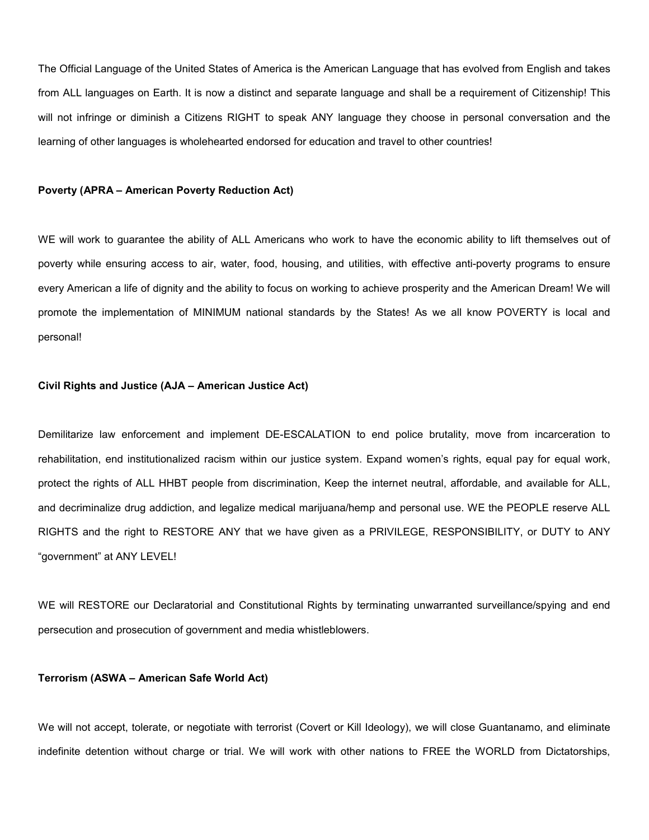The Official Language of the United States of America is the American Language that has evolved from English and takes from ALL languages on Earth. It is now a distinct and separate language and shall be a requirement of Citizenship! This will not infringe or diminish a Citizens RIGHT to speak ANY language they choose in personal conversation and the learning of other languages is wholehearted endorsed for education and travel to other countries!

#### Poverty (APRA – American Poverty Reduction Act)

WE will work to guarantee the ability of ALL Americans who work to have the economic ability to lift themselves out of poverty while ensuring access to air, water, food, housing, and utilities, with effective anti-poverty programs to ensure every American a life of dignity and the ability to focus on working to achieve prosperity and the American Dream! We will promote the implementation of MINIMUM national standards by the States! As we all know POVERTY is local and personal!

## Civil Rights and Justice (AJA – American Justice Act)

Demilitarize law enforcement and implement DE-ESCALATION to end police brutality, move from incarceration to rehabilitation, end institutionalized racism within our justice system. Expand women's rights, equal pay for equal work, protect the rights of ALL HHBT people from discrimination, Keep the internet neutral, affordable, and available for ALL, and decriminalize drug addiction, and legalize medical marijuana/hemp and personal use. WE the PEOPLE reserve ALL RIGHTS and the right to RESTORE ANY that we have given as a PRIVILEGE, RESPONSIBILITY, or DUTY to ANY "government" at ANY LEVEL!

WE will RESTORE our Declaratorial and Constitutional Rights by terminating unwarranted surveillance/spying and end persecution and prosecution of government and media whistleblowers.

#### Terrorism (ASWA – American Safe World Act)

We will not accept, tolerate, or negotiate with terrorist (Covert or Kill Ideology), we will close Guantanamo, and eliminate indefinite detention without charge or trial. We will work with other nations to FREE the WORLD from Dictatorships,